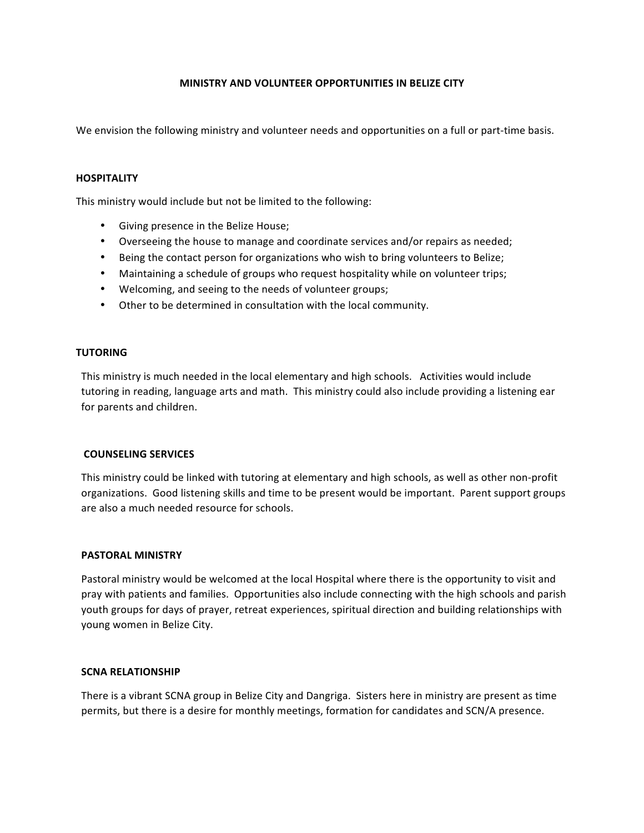# **MINISTRY AND VOLUNTEER OPPORTUNITIES IN BELIZE CITY**

We envision the following ministry and volunteer needs and opportunities on a full or part-time basis.

#### **HOSPITALITY**

This ministry would include but not be limited to the following:

- Giving presence in the Belize House;
- Overseeing the house to manage and coordinate services and/or repairs as needed;
- Being the contact person for organizations who wish to bring volunteers to Belize;
- Maintaining a schedule of groups who request hospitality while on volunteer trips;
- Welcoming, and seeing to the needs of volunteer groups;
- Other to be determined in consultation with the local community.

# **TUTORING**

This ministry is much needed in the local elementary and high schools. Activities would include tutoring in reading, language arts and math. This ministry could also include providing a listening ear for parents and children.

#### **COUNSELING SERVICES**

This ministry could be linked with tutoring at elementary and high schools, as well as other non-profit organizations. Good listening skills and time to be present would be important. Parent support groups are also a much needed resource for schools.

#### **PASTORAL MINISTRY**

Pastoral ministry would be welcomed at the local Hospital where there is the opportunity to visit and pray with patients and families. Opportunities also include connecting with the high schools and parish youth groups for days of prayer, retreat experiences, spiritual direction and building relationships with young women in Belize City.

#### **SCNA RELATIONSHIP**

There is a vibrant SCNA group in Belize City and Dangriga. Sisters here in ministry are present as time permits, but there is a desire for monthly meetings, formation for candidates and SCN/A presence.